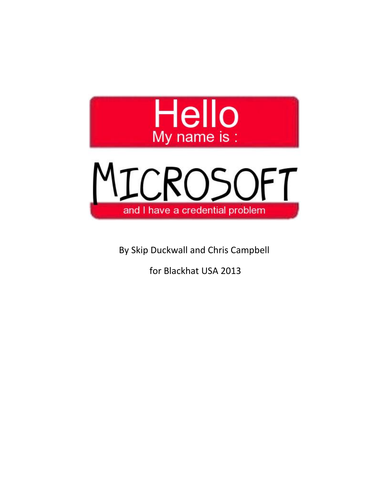



By Skip Duckwall and Chris Campbell

for Blackhat USA 2013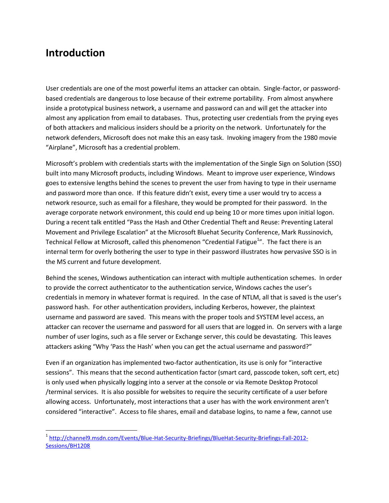#### **Introduction**

User credentials are one of the most powerful items an attacker can obtain. Single-factor, or password based credentials are dangerous to lose because of their extreme portability. From almost anywhere inside a prototypical business network, a username and password can and will get the attacker into almost any application from email to databases. Thus, protecting user credentials from the prying eyes of both attackers and malicious insiders should be a priority on the network. Unfortunately for the network defenders, Microsoft does not make this an easy task. Invoking imagery from the 1980 movie "Airplane", Microsoft has a credential problem.

Microsoft's problem with credentials starts with the implementation of the Single Sign on Solution (SSO) built into many Microsoft products, including Windows. Meant to improve user experience, Windows goes to extensive lengths behind the scenes to prevent the user from having to type in their username and password more than once. If this feature didn't exist, every time a user would try to access a network resource, such as email for a fileshare, they would be prompted for their password. In the average corporate network environment, this could end up being 10 or more times upon initial logon. During a recent talk entitled "Pass the Hash and Other Credential Theft and Reuse: Preventing Lateral Movement and Privilege Escalation" at the Microsoft Bluehat Security Conference, Mark Russinovich, Technical Fellow at Microsoft, called this phenomenon "Credential Fatigue<sup>1</sup>". The fact there is an internal term for overly bothering the user to type in their password illustrates how pervasive SSO is in the MS current and future development.

Behind the scenes, Windows authentication can interact with multiple authentication schemes. In order to provide the correct authenticator to the authentication service, Windows caches the user's credentials in memory in whatever format is required. In the case of NTLM, all that is saved is the user's password hash. For other authentication providers, including Kerberos, however, the plaintext username and password are saved. This means with the proper tools and SYSTEM level access, an attacker can recover the username and password for all users that are logged in. On servers with a large number of user logins, such as a file server or Exchange server, this could be devastating. This leaves attackers asking "Why 'Pass the Hash' when you can get the actual username and password?"

Even if an organization has implemented two-factor authentication, its use is only for "interactive sessions". This means that the second authentication factor (smart card, passcode token, soft cert, etc) is only used when physically logging into a server at the console or via Remote Desktop Protocol /terminal services. It is also possible for websites to require the security certificate of a user before allowing access. Unfortunately, most interactions that a user has with the work environment aren't considered "interactive". Access to file shares, email and database logins, to name a few, cannot use

<sup>1</sup> http://channel9.msdn.com/Events/Blue-Hat-Security-Briefings/BlueHat-Security-Briefings-Fall-2012- Sessions/BH1208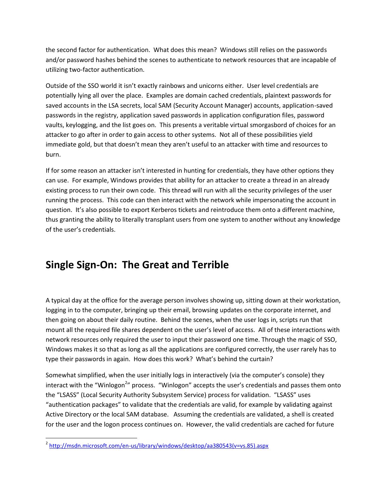the second factor for authentication. What does this mean? Windows still relies on the passwords and/or password hashes behind the scenes to authenticate to network resources that are incapable of utilizing two-factor authentication.

Outside of the SSO world it isn't exactly rainbows and unicorns either. User level credentials are potentially lying all over the place. Examples are domain cached credentials, plaintext passwords for saved accounts in the LSA secrets, local SAM (Security Account Manager) accounts, application-saved passwords in the registry, application saved passwords in application configuration files, password vaults, keylogging, and the list goes on. This presents a veritable virtual smorgasbord of choices for an attacker to go after in order to gain access to other systems. Not all of these possibilities yield immediate gold, but that doesn't mean they aren't useful to an attacker with time and resources to burn.

If for some reason an attacker isn't interested in hunting for credentials, they have other options they can use. For example, Windows provides that ability for an attacker to create a thread in an already existing process to run their own code. This thread will run with all the security privileges of the user running the process. This code can then interact with the network while impersonating the account in question. It's also possible to export Kerberos tickets and reintroduce them onto a different machine, thus granting the ability to literally transplant users from one system to another without any knowledge of the user's credentials.

### **Single Sign-On: The Great and Terrible**

A typical day at the office for the average person involves showing up, sitting down at their workstation, logging in to the computer, bringing up their email, browsing updates on the corporate internet, and then going on about their daily routine. Behind the scenes, when the user logs in, scripts run that mount all the required file shares dependent on the user's level of access. All of these interactions with network resources only required the user to input their password one time. Through the magic of SSO, Windows makes it so that as long as all the applications are configured correctly, the user rarely has to type their passwords in again. How does this work? What's behind the curtain?

Somewhat simplified, when the user initially logs in interactively (via the computer's console) they interact with the "Winlogon<sup>2</sup>" process. "Winlogon" accepts the user's credentials and passes them onto the "LSASS" (Local Security Authority Subsystem Service) process for validation. "LSASS" uses "authentication packages" to validate that the credentials are valid, for example by validating against Active Directory or the local SAM database. Assuming the credentials are validated, a shell is created for the user and the logon process continues on. However, the valid credentials are cached for future

<sup>&</sup>lt;sup>2</sup> http://msdn.microsoft.com/en-us/library/windows/desktop/aa380543(v=vs.85).aspx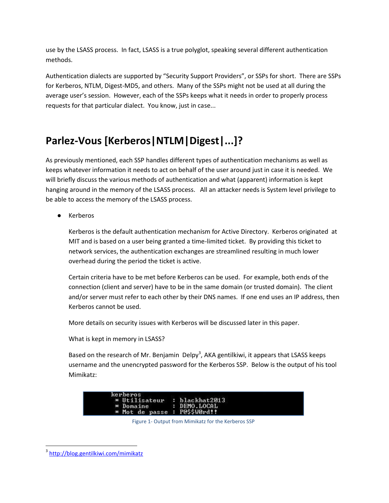use by the LSASS process. In fact, LSASS is a true polyglot, speaking several different authentication methods.

Authentication dialects are supported by "Security Support Providers", or SSPs for short. There are SSPs for Kerberos, NTLM, Digest-MD5, and others. Many of the SSPs might not be used at all during the average user's session. However, each of the SSPs keeps what it needs in order to properly process requests for that particular dialect. You know, just in case...

# **Parlez-Vous [Kerberos|NTLM|Digest|...]?**

As previously mentioned, each SSP handles different types of authentication mechanisms as well as keeps whatever information it needs to act on behalf of the user around just in case it is needed. We will briefly discuss the various methods of authentication and what (apparent) information is kept hanging around in the memory of the LSASS process. All an attacker needs is System level privilege to be able to access the memory of the LSASS process.

● Kerberos

Kerberos is the default authentication mechanism for Active Directory. Kerberos originated at MIT and is based on a user being granted a time-limited ticket. By providing this ticket to network services, the authentication exchanges are streamlined resulting in much lower overhead during the period the ticket is active.

Certain criteria have to be met before Kerberos can be used. For example, both ends of the connection (client and server) have to be in the same domain (or trusted domain). The client and/or server must refer to each other by their DNS names. If one end uses an IP address, then Kerberos cannot be used.

More details on security issues with Kerberos will be discussed later in this paper.

What is kept in memory in LSASS?

Based on the research of Mr. Benjamin Delpy<sup>3</sup>, AKA gentilkiwi, it appears that LSASS keeps username and the unencrypted password for the Kerberos SSP. Below is the output of his tool Mimikatz:



Figure 1- Output from Mimikatz for the Kerberos SSP

<sup>3</sup> http://blog.gentilkiwi.com/mimikatz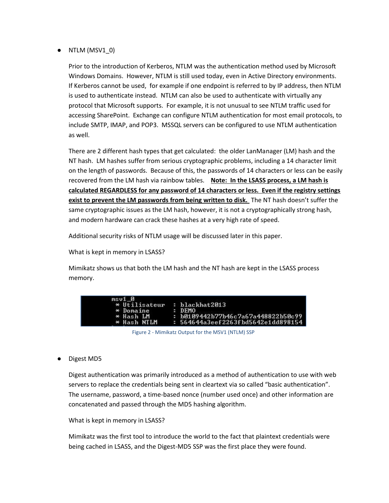$\bullet$  NTLM (MSV1 0)

Prior to the introduction of Kerberos, NTLM was the authentication method used by Microsoft Windows Domains. However, NTLM is still used today, even in Active Directory environments. If Kerberos cannot be used, for example if one endpoint is referred to by IP address, then NTLM is used to authenticate instead. NTLM can also be used to authenticate with virtually any protocol that Microsoft supports. For example, it is not unusual to see NTLM traffic used for accessing SharePoint. Exchange can configure NTLM authentication for most email protocols, to include SMTP, IMAP, and POP3. MSSQL servers can be configured to use NTLM authentication as well.

There are 2 different hash types that get calculated: the older LanManager (LM) hash and the NT hash. LM hashes suffer from serious cryptographic problems, including a 14 character limit on the length of passwords. Because of this, the passwords of 14 characters or less can be easily recovered from the LM hash via rainbow tables. **Note: In the LSASS process, a LM hash is calculated REGARDLESS for any password of 14 characters or less. Even if the registry settings exist to prevent the LM passwords from being written to disk.** The NT hash doesn't suffer the same cryptographic issues as the LM hash, however, it is not a cryptographically strong hash, and modern hardware can crack these hashes at a very high rate of speed.

Additional security risks of NTLM usage will be discussed later in this paper.

What is kept in memory in LSASS?

Mimikatz shows us that both the LM hash and the NT hash are kept in the LSASS process memory.

| $msu1$ $\theta$     |                                    |
|---------------------|------------------------------------|
| $\star$ Utilisateur | : blackhat2013                     |
| * Domaine           | : <b>DFMO</b>                      |
| * Hash LM           | : b0109442b77b46c7a67a448822b50c99 |
| * Hash NTLM         | : 564644a3eef2263fbd5642e1dd898154 |

| Figure 2 - Mimikatz Output for the MSV1 (NTLM) SSP |  |  |  |
|----------------------------------------------------|--|--|--|
|----------------------------------------------------|--|--|--|

● Digest MD5

Digest authentication was primarily introduced as a method of authentication to use with web servers to replace the credentials being sent in cleartext via so called "basic authentication". The username, password, a time-based nonce (number used once) and other information are concatenated and passed through the MD5 hashing algorithm.

What is kept in memory in LSASS?

Mimikatz was the first tool to introduce the world to the fact that plaintext credentials were being cached in LSASS, and the Digest-MD5 SSP was the first place they were found.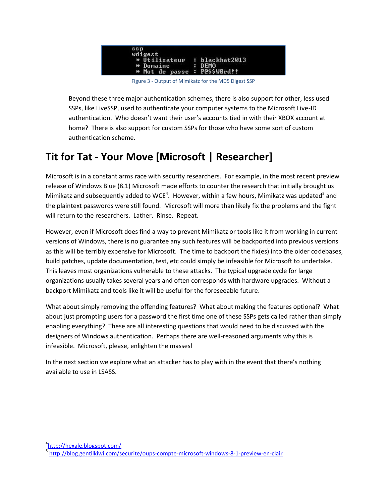

Figure 3 - Output of Mimikatz for the MD5 Digest SSP

Beyond these three major authentication schemes, there is also support for other, less used SSPs, like LiveSSP, used to authenticate your computer systems to the Microsoft Live-ID authentication. Who doesn't want their user's accounts tied in with their XBOX account at home? There is also support for custom SSPs for those who have some sort of custom authentication scheme.

# **Tit for Tat - Your Move [Microsoft | Researcher]**

Microsoft is in a constant arms race with security researchers. For example, in the most recent preview release of Windows Blue (8.1) Microsoft made efforts to counter the research that initially brought us Mimikatz and subsequently added to WCE<sup>4</sup>. However, within a few hours, Mimikatz was updated<sup>5</sup> and the plaintext passwords were still found. Microsoft will more than likely fix the problems and the fight will return to the researchers. Lather. Rinse. Repeat.

However, even if Microsoft does find a way to prevent Mimikatz or tools like it from working in current versions of Windows, there is no guarantee any such features will be backported into previous versions as this will be terribly expensive for Microsoft. The time to backport the fix(es) into the older codebases, build patches, update documentation, test, etc could simply be infeasible for Microsoft to undertake. This leaves most organizations vulnerable to these attacks. The typical upgrade cycle for large organizations usually takes several years and often corresponds with hardware upgrades. Without a backport Mimikatz and tools like it will be useful for the foreseeable future.

What about simply removing the offending features? What about making the features optional? What about just prompting users for a password the first time one of these SSPs gets called rather than simply enabling everything? These are all interesting questions that would need to be discussed with the designers of Windows authentication. Perhaps there are well-reasoned arguments why this is infeasible. Microsoft, please, enlighten the masses!

In the next section we explore what an attacker has to play with in the event that there's nothing available to use in LSASS.

<sup>&</sup>lt;sup>4</sup>http://hexale.blogspot.com/

<sup>5</sup> http://blog.gentilkiwi.com/securite/oups-compte-microsoft-windows-8-1-preview-en-clair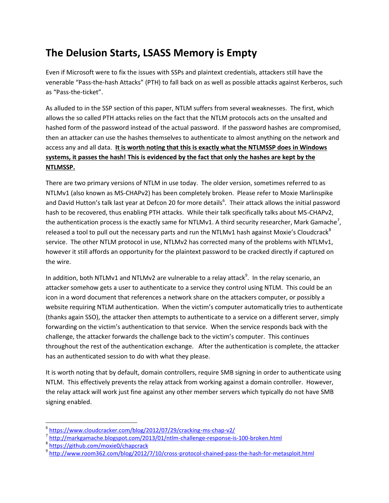# **The Delusion Starts, LSASS Memory is Empty**

Even if Microsoft were to fix the issues with SSPs and plaintext credentials, attackers still have the venerable "Pass-the-hash Attacks" (PTH) to fall back on as well as possible attacks against Kerberos, such as "Pass-the-ticket".

As alluded to in the SSP section of this paper, NTLM suffers from several weaknesses. The first, which allows the so called PTH attacks relies on the fact that the NTLM protocols acts on the unsalted and hashed form of the password instead of the actual password. If the password hashes are compromised, then an attacker can use the hashes themselves to authenticate to almost anything on the network and access any and all data. **It is worth noting that this is exactly what the NTLMSSP does in Windows systems, it passes the hash! This is evidenced by the fact that only the hashes are kept by the NTLMSSP.**

There are two primary versions of NTLM in use today. The older version, sometimes referred to as NTLMv1 (also known as MS-CHAPv2) has been completely broken. Please refer to Moxie Marlinspike and David Hutton's talk last year at Defcon 20 for more details<sup>6</sup>. Their attack allows the initial password hash to be recovered, thus enabling PTH attacks. While their talk specifically talks about MS-CHAPv2, the authentication process is the exactly same for NTLMv1. A third security researcher, Mark Gamache<sup>7</sup>, released a tool to pull out the necessary parts and run the NTLMv1 hash against Moxie's Cloudcrack<sup>8</sup> service. The other NTLM protocol in use, NTLMv2 has corrected many of the problems with NTLMv1, however it still affords an opportunity for the plaintext password to be cracked directly if captured on the wire.

In addition, both NTLMv1 and NTLMv2 are vulnerable to a relay attack $^9$ . In the relay scenario, an attacker somehow gets a user to authenticate to a service they control using NTLM. This could be an icon in a word document that references a network share on the attackers computer, or possibly a website requiring NTLM authentication. When the victim's computer automatically tries to authenticate (thanks again SSO), the attacker then attempts to authenticate to a service on a different server, simply forwarding on the victim's authentication to that service. When the service responds back with the challenge, the attacker forwards the challenge back to the victim's computer. This continues throughout the rest of the authentication exchange. After the authentication is complete, the attacker has an authenticated session to do with what they please.

It is worth noting that by default, domain controllers, require SMB signing in order to authenticate using NTLM. This effectively prevents the relay attack from working against a domain controller. However, the relay attack will work just fine against any other member servers which typically do not have SMB signing enabled.

<sup>6</sup> https://www.cloudcracker.com/blog/2012/07/29/cracking-ms-chap-v2/

<sup>7</sup> http://markgamache.blogspot.com/2013/01/ntlm-challenge-response-is-100-broken.html <sup>8</sup> https://github.com/moxie0/chapcrack

<sup>9</sup> http://www.room362.com/blog/2012/7/10/cross-protocol-chained-pass-the-hash-for-metasploit.html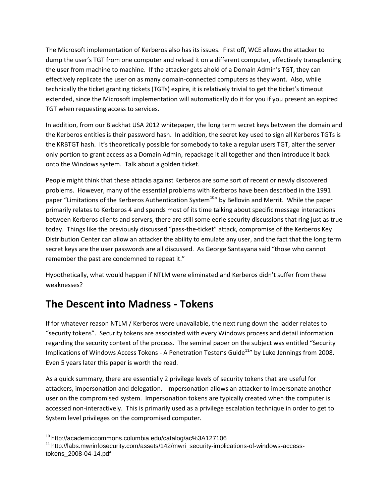The Microsoft implementation of Kerberos also has its issues. First off, WCE allows the attacker to dump the user's TGT from one computer and reload it on a different computer, effectively transplanting the user from machine to machine. If the attacker gets ahold of a Domain Admin's TGT, they can effectively replicate the user on as many domain-connected computers as they want. Also, while technically the ticket granting tickets (TGTs) expire, it is relatively trivial to get the ticket's timeout extended, since the Microsoft implementation will automatically do it for you if you present an expired TGT when requesting access to services.

In addition, from our Blackhat USA 2012 whitepaper, the long term secret keys between the domain and the Kerberos entities is their password hash. In addition, the secret key used to sign all Kerberos TGTs is the KRBTGT hash. It's theoretically possible for somebody to take a regular users TGT, alter the server only portion to grant access as a Domain Admin, repackage it all together and then introduce it back onto the Windows system. Talk about a golden ticket.

People might think that these attacks against Kerberos are some sort of recent or newly discovered problems. However, many of the essential problems with Kerberos have been described in the 1991 paper "Limitations of the Kerberos Authentication System<sup>10</sup>" by Bellovin and Merrit. While the paper primarily relates to Kerberos 4 and spends most of its time talking about specific message interactions between Kerberos clients and servers, there are still some eerie security discussions that ring just as true today. Things like the previously discussed "pass-the-ticket" attack, compromise of the Kerberos Key Distribution Center can allow an attacker the ability to emulate any user, and the fact that the long term secret keys are the user passwords are all discussed. As George Santayana said "those who cannot remember the past are condemned to repeat it."

Hypothetically, what would happen if NTLM were eliminated and Kerberos didn't suffer from these weaknesses?

### **The Descent into Madness - Tokens**

If for whatever reason NTLM / Kerberos were unavailable, the next rung down the ladder relates to "security tokens". Security tokens are associated with every Windows process and detail information regarding the security context of the process. The seminal paper on the subject was entitled "Security Implications of Windows Access Tokens - A Penetration Tester's Guide<sup>11</sup>" by Luke Jennings from 2008. Even 5 years later this paper is worth the read.

As a quick summary, there are essentially 2 privilege levels of security tokens that are useful for attackers, impersonation and delegation. Impersonation allows an attacker to impersonate another user on the compromised system. Impersonation tokens are typically created when the computer is accessed non-interactively. This is primarily used as a privilege escalation technique in order to get to System level privileges on the compromised computer.

<sup>10</sup> http://academiccommons.columbia.edu/catalog/ac%3A127106

<sup>&</sup>lt;sup>11</sup> http://labs.mwrinfosecurity.com/assets/142/mwri\_security-implications-of-windows-accesstokens\_2008-04-14.pdf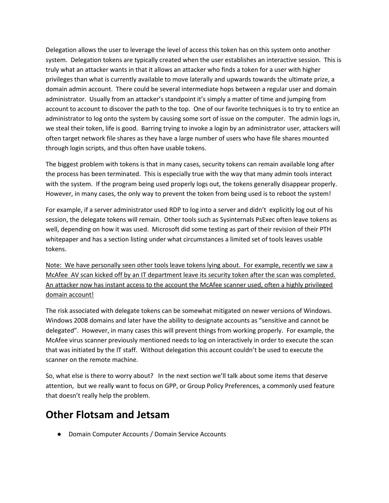Delegation allows the user to leverage the level of access this token has on this system onto another system. Delegation tokens are typically created when the user establishes an interactive session. This is truly what an attacker wants in that it allows an attacker who finds a token for a user with higher privileges than what is currently available to move laterally and upwards towards the ultimate prize, a domain admin account. There could be several intermediate hops between a regular user and domain administrator. Usually from an attacker's standpoint it's simply a matter of time and jumping from account to account to discover the path to the top. One of our favorite techniques is to try to entice an administrator to log onto the system by causing some sort of issue on the computer. The admin logs in, we steal their token, life is good. Barring trying to invoke a login by an administrator user, attackers will often target network file shares as they have a large number of users who have file shares mounted through login scripts, and thus often have usable tokens.

The biggest problem with tokens is that in many cases, security tokens can remain available long after the process has been terminated. This is especially true with the way that many admin tools interact with the system. If the program being used properly logs out, the tokens generally disappear properly. However, in many cases, the only way to prevent the token from being used is to reboot the system!

For example, if a server administrator used RDP to log into a server and didn't explicitly log out of his session, the delegate tokens will remain. Other tools such as Sysinternals PsExec often leave tokens as well, depending on how it was used. Microsoft did some testing as part of their revision of their PTH whitepaper and has a section listing under what circumstances a limited set of tools leaves usable tokens.

Note: We have personally seen other tools leave tokens lying about. For example, recently we saw a McAfee AV scan kicked off by an IT department leave its security token after the scan was completed. An attacker now has instant access to the account the McAfee scanner used, often a highly privileged domain account!

The risk associated with delegate tokens can be somewhat mitigated on newer versions of Windows. Windows 2008 domains and later have the ability to designate accounts as "sensitive and cannot be delegated". However, in many cases this will prevent things from working properly. For example, the McAfee virus scanner previously mentioned needs to log on interactively in order to execute the scan that was initiated by the IT staff. Without delegation this account couldn't be used to execute the scanner on the remote machine.

So, what else is there to worry about? In the next section we'll talk about some items that deserve attention, but we really want to focus on GPP, or Group Policy Preferences, a commonly used feature that doesn't really help the problem.

#### **Other Flotsam and Jetsam**

● Domain Computer Accounts / Domain Service Accounts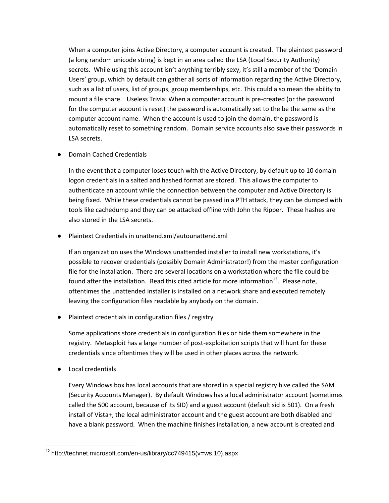When a computer joins Active Directory, a computer account is created. The plaintext password (a long random unicode string) is kept in an area called the LSA (Local Security Authority) secrets. While using this account isn't anything terribly sexy, it's still a member of the 'Domain Users' group, which by default can gather all sorts of information regarding the Active Directory, such as a list of users, list of groups, group memberships, etc. This could also mean the ability to mount a file share. Useless Trivia: When a computer account is pre-created (or the password for the computer account is reset) the password is automatically set to the be the same as the computer account name. When the account is used to join the domain, the password is automatically reset to something random. Domain service accounts also save their passwords in LSA secrets.

● Domain Cached Credentials

In the event that a computer loses touch with the Active Directory, by default up to 10 domain logon credentials in a salted and hashed format are stored. This allows the computer to authenticate an account while the connection between the computer and Active Directory is being fixed. While these credentials cannot be passed in a PTH attack, they can be dumped with tools like cachedump and they can be attacked offline with John the Ripper. These hashes are also stored in the LSA secrets.

● Plaintext Credentials in unattend.xml/autounattend.xml

If an organization uses the Windows unattended installer to install new workstations, it's possible to recover credentials (possibly Domain Administrator!) from the master configuration file for the installation. There are several locations on a workstation where the file could be found after the installation. Read this cited article for more information<sup>12</sup>. Please note, oftentimes the unattended installer is installed on a network share and executed remotely leaving the configuration files readable by anybody on the domain.

● Plaintext credentials in configuration files / registry

Some applications store credentials in configuration files or hide them somewhere in the registry. Metasploit has a large number of post-exploitation scripts that will hunt for these credentials since oftentimes they will be used in other places across the network.

● Local credentials

Every Windows box has local accounts that are stored in a special registry hive called the SAM (Security Accounts Manager). By default Windows has a local administrator account (sometimes called the 500 account, because of its SID) and a guest account (default sid is 501). On a fresh install of Vista+, the local administrator account and the guest account are both disabled and have a blank password. When the machine finishes installation, a new account is created and

 $12$  http://technet.microsoft.com/en-us/library/cc749415(v=ws.10).aspx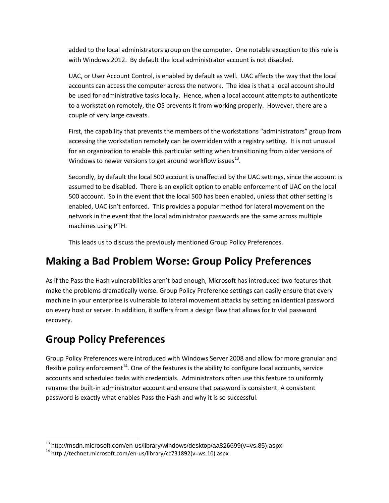added to the local administrators group on the computer. One notable exception to this rule is with Windows 2012. By default the local administrator account is not disabled.

UAC, or User Account Control, is enabled by default as well. UAC affects the way that the local accounts can access the computer across the network. The idea is that a local account should be used for administrative tasks locally. Hence, when a local account attempts to authenticate to a workstation remotely, the OS prevents it from working properly. However, there are a couple of very large caveats.

First, the capability that prevents the members of the workstations "administrators" group from accessing the workstation remotely can be overridden with a registry setting. It is not unusual for an organization to enable this particular setting when transitioning from older versions of Windows to newer versions to get around workflow issues $^{\rm 13}.$ 

Secondly, by default the local 500 account is unaffected by the UAC settings, since the account is assumed to be disabled. There is an explicit option to enable enforcement of UAC on the local 500 account. So in the event that the local 500 has been enabled, unless that other setting is enabled, UAC isn't enforced. This provides a popular method for lateral movement on the network in the event that the local administrator passwords are the same across multiple machines using PTH.

This leads us to discuss the previously mentioned Group Policy Preferences.

### **Making a Bad Problem Worse: Group Policy Preferences**

As if the Pass the Hash vulnerabilities aren't bad enough, Microsoft has introduced two features that make the problems dramatically worse. Group Policy Preference settings can easily ensure that every machine in your enterprise is vulnerable to lateral movement attacks by setting an identical password on every host or server. In addition, it suffers from a design flaw that allows for trivial password recovery.

# **Group Policy Preferences**

Group Policy Preferences were introduced with Windows Server 2008 and allow for more granular and flexible policy enforcement<sup>14</sup>. One of the features is the ability to configure local accounts, service accounts and scheduled tasks with credentials. Administrators often use this feature to uniformly rename the built-in administrator account and ensure that password is consistent. A consistent password is exactly what enables Pass the Hash and why it is so successful.

<sup>13</sup> http://msdn.microsoft.com/en-us/library/windows/desktop/aa826699(v=vs.85).aspx

<sup>14</sup> http://technet.microsoft.com/en-us/library/cc731892(v=ws.10).aspx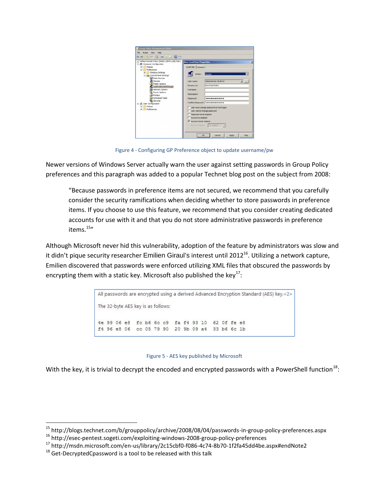| Default Domain Policy [2K8DC.DEMO.LAB] Policy<br>Ail Computer Configuration<br>Policies<br>国<br>Preferences<br>(R) Windows Settings<br><b>El Gat</b> Control Panel Settings<br><b>Data Sources</b><br><b>Devices</b><br>Folder Options<br>Local Users and Groups<br><b>Il Network Options</b><br>Power Options<br><b>Printers</b><br>all Scheduled Tasks<br><b>A</b> Services<br>ult. User Configuration<br>Policies<br>Preferences | <b>New Local User Properties</b><br>Local User Common<br>Actions<br>Liser name:<br>Rename to:<br>Pull name:<br><b>Description:</b><br>Password:<br>User cannot change password<br>Password never expires<br>Account is deabled<br>V Account never expires | Update<br>Administrator (built-in)<br><b>The Laws</b><br>DontHashMeBro<br>***************<br>Confirm Password:   executavesesses<br>User must change password at next logon<br>Accord exters 77 1/2013 |
|-------------------------------------------------------------------------------------------------------------------------------------------------------------------------------------------------------------------------------------------------------------------------------------------------------------------------------------------------------------------------------------------------------------------------------------|-----------------------------------------------------------------------------------------------------------------------------------------------------------------------------------------------------------------------------------------------------------|--------------------------------------------------------------------------------------------------------------------------------------------------------------------------------------------------------|

Figure 4 - Configuring GP Preference object to update username/pw

Newer versions of Windows Server actually warn the user against setting passwords in Group Policy preferences and this paragraph was added to a popular Technet blog post on the subject from 2008:

"Because passwords in preference items are not secured, we recommend that you carefully consider the security ramifications when deciding whether to store passwords in preference items. If you choose to use this feature, we recommend that you consider creating dedicated accounts for use with it and that you do not store administrative passwords in preference items.<sup>15</sup>"

Although Microsoft never hid this vulnerability, adoption of the feature by administrators was slow and it didn't pique security researcher Emilien Giraul's interest until 2012<sup>16</sup>. Utilizing a network capture, Emilien discovered that passwords were enforced utilizing XML files that obscured the passwords by encrypting them with a static key. Microsoft also published the key $^{17}$ :

> All passwords are encrypted using a derived Advanced Encryption Standard (AES) key,<2> The 32-byte AES key is as follows: 4e 99 06 e8 fc b6 6c c9 fa f4 93 10 62 Of fe e8 f4 96 e8 06 cc 05 79 90 20 9b 09 a4 33 b6 6c 1b

#### Figure 5 - AES key published by Microsoft

With the key, it is trivial to decrypt the encoded and encrypted passwords with a PowerShell function $^{18}$ :

<sup>15</sup> http://blogs.technet.com/b/grouppolicy/archive/2008/08/04/passwords-in-group-policy-preferences.aspx

<sup>16</sup> http://esec-pentest.sogeti.com/exploiting-windows-2008-group-policy-preferences

<sup>17</sup> http://msdn.microsoft.com/en-us/library/2c15cbf0-f086-4c74-8b70-1f2fa45dd4be.aspx#endNote2

 $18$  Get-DecryptedCpassword is a tool to be released with this talk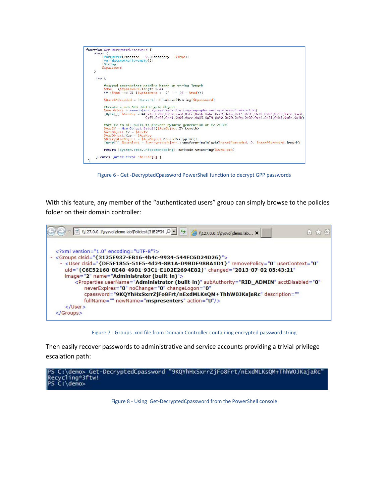

Figure 6 - Get -DecryptedCpassword PowerShell function to decrypt GPP passwords

With this feature, any member of the "authenticated users" group can simply browse to the policies folder on their domain controller:



Figure 7 - Groups .xml file from Domain Controller containing encrypted password string

Then easily recover passwords to administrative and service accounts providing a trivial privilege escalation path:



Figure 8 - Using Get-DecryptedCpassword from the PowerShell console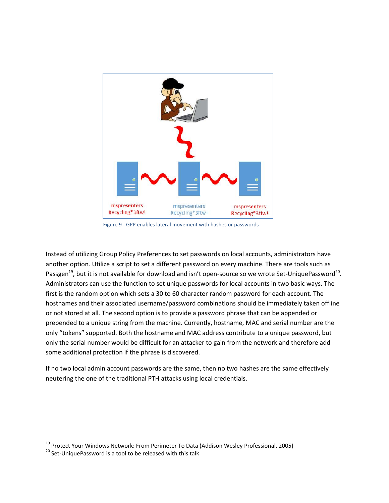

Figure 9 - GPP enables lateral movement with hashes or passwords

Instead of utilizing Group Policy Preferences to set passwords on local accounts, administrators have another option. Utilize a script to set a different password on every machine. There are tools such as Passgen<sup>19</sup>, but it is not available for download and isn't open-source so we wrote Set-UniquePassword<sup>20</sup>. Administrators can use the function to set unique passwords for local accounts in two basic ways. The first is the random option which sets a 30 to 60 character random password for each account. The hostnames and their associated username/password combinations should be immediately taken offline or not stored at all. The second option is to provide a password phrase that can be appended or prepended to a unique string from the machine. Currently, hostname, MAC and serial number are the only "tokens" supported. Both the hostname and MAC address contribute to a unique password, but only the serial number would be difficult for an attacker to gain from the network and therefore add some additional protection if the phrase is discovered.

If no two local admin account passwords are the same, then no two hashes are the same effectively neutering the one of the traditional PTH attacks using local credentials.

<sup>&</sup>lt;sup>19</sup> Protect Your Windows Network: From Perimeter To Data (Addison Wesley Professional, 2005)<br><sup>20</sup> Set-UniquePassword is a tool to be released with this talk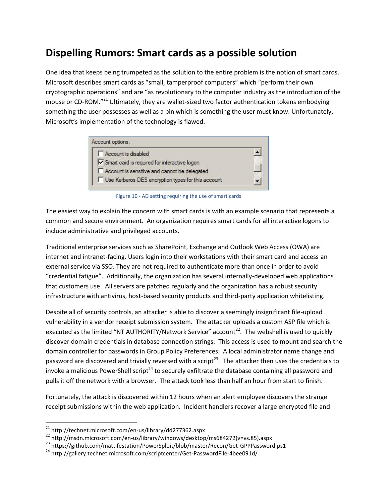## **Dispelling Rumors: Smart cards as a possible solution**

One idea that keeps being trumpeted as the solution to the entire problem is the notion of smart cards. Microsoft describes smart cards as "small, tamperproof computers" which "perform their own cryptographic operations" and are "as revolutionary to the computer industry as the introduction of the mouse or CD-ROM."<sup>21</sup> Ultimately, they are wallet-sized two factor authentication tokens embodying something the user possesses as well as a pin which is something the user must know. Unfortunately, Microsoft's implementation of the technology is flawed.



Figure 10 - AD setting requiring the use of smart cards

The easiest way to explain the concern with smart cards is with an example scenario that represents a common and secure environment. An organization requires smart cards for all interactive logons to include administrative and privileged accounts.

Traditional enterprise services such as SharePoint, Exchange and Outlook Web Access (OWA) are internet and intranet-facing. Users login into their workstations with their smart card and access an external service via SSO. They are not required to authenticate more than once in order to avoid "credential fatigue". Additionally, the organization has several internally-developed web applications that customers use. All servers are patched regularly and the organization has a robust security infrastructure with antivirus, host-based security products and third-party application whitelisting.

Despite all of security controls, an attacker is able to discover a seemingly insignificant file-upload vulnerability in a vendor receipt submission system. The attacker uploads a custom ASP file which is executed as the limited "NT AUTHORITY/Network Service" account<sup>22</sup>. The webshell is used to quickly discover domain credentials in database connection strings. This access is used to mount and search the domain controller for passwords in Group Policy Preferences. A local administrator name change and password are discovered and trivially reversed with a script<sup>23</sup>. The attacker then uses the credentials to invoke a malicious PowerShell script<sup>24</sup> to securely exfiltrate the database containing all password and pulls it off the network with a browser. The attack took less than half an hour from start to finish.

Fortunately, the attack is discovered within 12 hours when an alert employee discovers the strange receipt submissions within the web application. Incident handlers recover a large encrypted file and

<sup>21</sup> http://technet.microsoft.com/en-us/library/dd277362.aspx

<sup>22</sup> http://msdn.microsoft.com/en-us/library/windows/desktop/ms684272(v=vs.85).aspx

<sup>&</sup>lt;sup>23</sup> https://github.com/mattifestation/PowerSploit/blob/master/Recon/Get-GPPPassword.ps1

<sup>&</sup>lt;sup>24</sup> http://gallery.technet.microsoft.com/scriptcenter/Get-PasswordFile-4bee091d/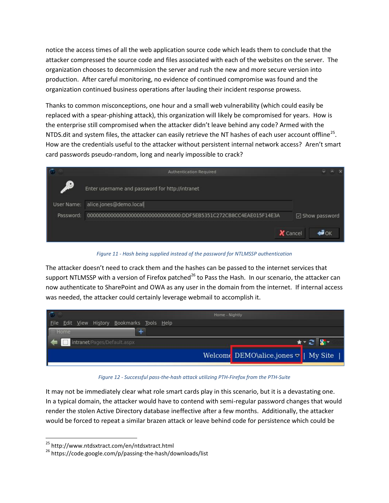notice the access times of all the web application source code which leads them to conclude that the attacker compressed the source code and files associated with each of the websites on the server. The organization chooses to decommission the server and rush the new and more secure version into production. After careful monitoring, no evidence of continued compromise was found and the organization continued business operations after lauding their incident response prowess.

Thanks to common misconceptions, one hour and a small web vulnerability (which could easily be replaced with a spear-phishing attack), this organization will likely be compromised for years. How is the enterprise still compromised when the attacker didn't leave behind any code? Armed with the NTDS.dit and system files, the attacker can easily retrieve the NT hashes of each user account offline<sup>25</sup>. How are the credentials useful to the attacker without persistent internal network access? Aren't smart card passwords pseudo-random, long and nearly impossible to crack?

|                                                                  | <b>Authentication Required</b>                  | $\sim$<br>$\vee$        |
|------------------------------------------------------------------|-------------------------------------------------|-------------------------|
| $\left( \begin{array}{c} \bullet \\ \bullet \end{array} \right)$ | Enter username and password for http://intranet |                         |
| User Name:                                                       | alice.jones@demo.local                          |                         |
| Password:                                                        |                                                 | $\boxdot$ Show password |
|                                                                  |                                                 | X Cancel<br>∀⊙ ⊑        |

*Figure 11 - Hash being supplied instead of the password for NTLMSSP authentication*

The attacker doesn't need to crack them and the hashes can be passed to the internet services that support NTLMSSP with a version of Firefox patched<sup>26</sup> to Pass the Hash. In our scenario, the attacker can now authenticate to SharePoint and OWA as any user in the domain from the internet. If internal access was needed, the attacker could certainly leverage webmail to accomplish it.

|                                             | Home - Nightly                                     |  |
|---------------------------------------------|----------------------------------------------------|--|
| Eile Edit View History Bookmarks Tools Help |                                                    |  |
| $H$ ome                                     |                                                    |  |
| intranet/Pages/Default.aspx                 |                                                    |  |
|                                             | Welcome DEMO\alice.jones $\triangledown$   My Site |  |

*Figure 12 - Successful pass-the-hash attack utilizing PTH-Firefox from the PTH-Suite*

It may not be immediately clear what role smart cards play in this scenario, but it is a devastating one. In a typical domain, the attacker would have to contend with semi-regular password changes that would render the stolen Active Directory database ineffective after a few months. Additionally, the attacker would be forced to repeat a similar brazen attack or leave behind code for persistence which could be

<sup>&</sup>lt;sup>25</sup> http://www.ntdsxtract.com/en/ntdsxtract.html<br><sup>26</sup> https://code.google.com/p/passing-the-hash/downloads/list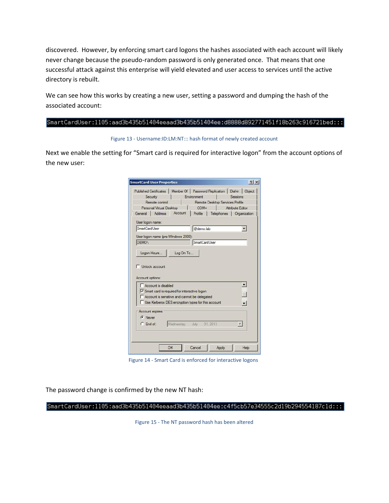discovered. However, by enforcing smart card logons the hashes associated with each account will likely never change because the pseudo-random password is only generated once. That means that one successful attack against this enterprise will yield elevated and user access to services until the active directory is rebuilt.

We can see how this works by creating a new user, setting a password and dumping the hash of the associated account:

#### SmartCardUser:1105:aad3b435b51404eeaad3b435b51404ee:d8888d892771451f18b263c916721bed:::

Figure 13 - Username:ID:LM:NT::: hash format of newly created account

Next we enable the setting for "Smart card is required for interactive logon" from the account options of the new user:

|                                                                                                                                                            |            |                                                    |            | Published Certificates   Member Of   Password Replication   Dial-in   Object |
|------------------------------------------------------------------------------------------------------------------------------------------------------------|------------|----------------------------------------------------|------------|------------------------------------------------------------------------------|
| Security                                                                                                                                                   |            | Environment                                        |            | Sessions                                                                     |
| Remote control                                                                                                                                             |            | Remote Desktop Services Profile                    |            |                                                                              |
| Personal Virtual Desktop                                                                                                                                   |            | $COM+$                                             |            | Attribute Editor                                                             |
| General   Address                                                                                                                                          | Account    | Profile                                            | Telephones | Organization                                                                 |
| User logon name:                                                                                                                                           |            |                                                    |            |                                                                              |
| SmartCardUser                                                                                                                                              |            | @demo.lab                                          |            |                                                                              |
| User logon name (pre-Windows 2000):                                                                                                                        |            |                                                    |            |                                                                              |
| DEMO\                                                                                                                                                      |            | SmartCardUser                                      |            |                                                                              |
| Logon Hours                                                                                                                                                | Log On To  |                                                    |            |                                                                              |
|                                                                                                                                                            |            |                                                    |            |                                                                              |
| Unlock account                                                                                                                                             |            |                                                    |            |                                                                              |
| Account options:<br>Account is disabled<br>Smart card is required for interactive logon<br>Account is sensitive and cannot be delegated<br>Account expires |            | Use Kerberos DES encryption types for this account |            |                                                                              |
| $G$ Never                                                                                                                                                  |            |                                                    |            |                                                                              |
| $C$ End of:                                                                                                                                                | Wednesday, | 31 2013<br>July                                    |            |                                                                              |
|                                                                                                                                                            |            |                                                    |            |                                                                              |

Figure 14 - Smart Card is enforced for interactive logons

The password change is confirmed by the new NT hash:

 $SmartCardUserr:1105: aad3b435b51404eeaad3b435b51404ee:c4f5cb57e34555c2d19b294554187c1d::: |$ 

Figure 15 - The NT password hash has been altered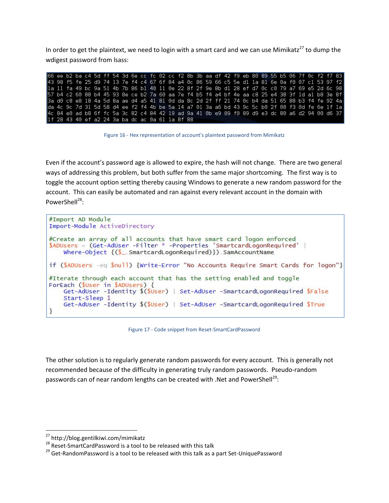In order to get the plaintext, we need to login with a smart card and we can use Mimikatz<sup>27</sup> to dump the wdigest password from lsass:

| 66 ee b2 ba c4 5d ff 54 3d 6e cc fc 02 cc f2 8b 3b aa df 42 f9 eb 80 89 55 b5 06 7f 0c f2 f7 83  |  |  |  |  |  |  |  |  |  |  |  |  |  |  |  |
|--------------------------------------------------------------------------------------------------|--|--|--|--|--|--|--|--|--|--|--|--|--|--|--|
| 43 98 f5 fe 25 d9 74 13 7e f4 c4 67 6f 84 a4 0c 86 59 66 c5 5e d1 1a 81 6e 0a f0 07 c1 53 97 f2  |  |  |  |  |  |  |  |  |  |  |  |  |  |  |  |
| 1a 11 fa 49 bc 9a 51 4b 7b 86 b1 40 11 0e 22 8f 2f 9e 8b d1 28 ef d7 0c c0 79 a7 69 e5 2d 6c 98  |  |  |  |  |  |  |  |  |  |  |  |  |  |  |  |
| 57 b4 c2 60 88 b4 45 93 8e ce b2 7a 60 aa 7e f4 b5 f4 a4 bf 4e aa c8 25 e4 38 3f 1d a1 b8 3e 8f  |  |  |  |  |  |  |  |  |  |  |  |  |  |  |  |
| 3 a d0 c8 e8 18 4a 5d 8a ae d4 a5 41 81 0d da 8c 2d 2f ff 21 74 0c b4 da 51 65 88 b3 f4 fe 92 4a |  |  |  |  |  |  |  |  |  |  |  |  |  |  |  |
| da 4c 9c 7d 31 5d 58 d4 ee f2 f4 4b be 5a 14 a7 01 3a a6 bd 43 9c 5c b0 2f 00 f3 0d fe 6e 1f 1a  |  |  |  |  |  |  |  |  |  |  |  |  |  |  |  |
| 4c 84 e0 ad b8 6f fc 5a 3c 82 c4 84 42 19 ad 9a 41 0b e9 09 f0 89 d9 e3 dc 80 a6 d2 94 00 d6 37  |  |  |  |  |  |  |  |  |  |  |  |  |  |  |  |
| 1f 28 43 40 ef a2 24 3a ba dc ac 0a 61 1a 8f 88                                                  |  |  |  |  |  |  |  |  |  |  |  |  |  |  |  |

Figure 16 - Hex representation of account's plaintext password from Mimikatz

Even if the account's password age is allowed to expire, the hash will not change. There are two general ways of addressing this problem, but both suffer from the same major shortcoming. The first way is to toggle the account option setting thereby causing Windows to generate a new random password for the account. This can easily be automated and ran against every relevant account in the domain with PowerShell<sup>28</sup>:

```
#Import AD Module
Import-Module ActiveDirectory
#Create an array of all accounts that have smart card logon enforced
$ADUsers = (Get-AdUser -Filter * -Properties 'SmartcardLogonRequired' |
    Where-Object {($_.SmartcardLogonRequired)}).SamAccountName
if ($ADUsers -eq $null) {Write-Error "No Accounts Require Smart Cards for logon"}
#Iterate through each account that has the setting enabled and toggle
ForEach ($User in $ADUsers) {<br>Get-AdUser -Identity $($User) | Set-AdUser -SmartcardLogonRequired $False
    Start-Sleep 1
    Get-AdUser -Identity $(50ser) | Set-AdUser -SmartcardLogonRequired $True
ł
```
Figure 17 - Code snippet from Reset-SmartCardPassword

The other solution is to regularly generate random passwords for every account. This is generally not recommended because of the difficulty in generating truly random passwords. Pseudo-random passwords can of near random lengths can be created with .Net and PowerShell<sup>29</sup>:

<sup>27</sup> http://blog.gentilkiwi.com/mimikatz

<sup>&</sup>lt;sup>28</sup> Reset-SmartCardPassword is a tool to be released with this talk

<sup>&</sup>lt;sup>29</sup> Get-RandomPassword is a tool to be released with this talk as a part Set-UniquePassword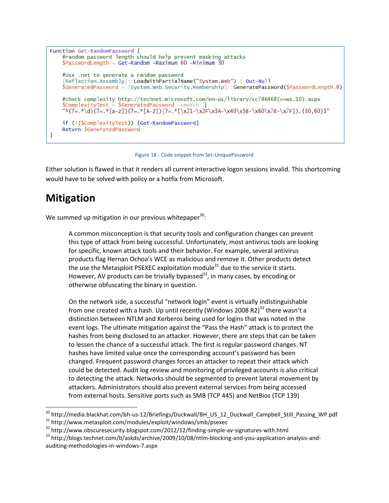```
Function Get-RandomPassword {
    #random password length should help prevent masking attacks<br>$PasswordLength = Get-Random -Maximum 60 -Minimum 30
    #Use .net to generate a random password
     [Reflection.Assembly]::LoadWithPartialName("System.Web") | Out-Null
    \SGeneratedPassword = [System.Web.Security.Membership]::GeneratePassword(\SPasswordLength, 0)
    #check complexity http://technet.microsoft.com/en-us/library/cc786468(v=ws.10).aspx
    \text{ScomplexityTest} = \text{SceneratedPassword } - \text{cmatch}"\w(2=.*\d)(2=.*[a-z])(2=.*[a-z])(2=.*[\x21-\x2F\x3A-\x40\x5B-\x60\x7B-\x7F]). {30,60}$"
    if (!($ComplexityTest)) {Get-RandomPassword}
    Return SGeneratedPassword
\mathcal{E}
```
Figure 18 - Code snippet from Set-UniquePassword

Either solution is flawed in that it renders all current interactive logon sessions invalid. This shortcoming would have to be solved with policy or a hotfix from Microsoft.

### **Mitigation**

We summed up mitigation in our previous whitepaper<sup>30</sup>:

A common misconception is that security tools and configuration changes can prevent this type of attack from being successful. Unfortunately, most antivirus tools are looking for specific, known attack tools and their behavior. For example, several antivirus products flag Hernan Ochoa's WCE as malicious and remove it. Other products detect the use the Metasploit PSEXEC exploitation module<sup>31</sup> due to the service it starts. However, AV products can be trivially bypassed<sup>32</sup>, in many cases, by encoding or otherwise obfuscating the binary in question.

On the network side, a successful "network login" event is virtually indistinguishable from one created with a hash. Up until recently (Windows 2008 R2)<sup>33</sup> there wasn't a distinction between NTLM and Kerberos being used for logins that was noted in the event logs. The ultimate mitigation against the "Pass the Hash" attack is to protect the hashes from being disclosed to an attacker. However, there are steps that can be taken to lessen the chance of a successful attack. The first is regular password changes. NT hashes have limited value once the corresponding account's password has been changed. Frequent password changes forces an attacker to repeat their attack which could be detected. Audit log review and monitoring of privileged accounts is also critical to detecting the attack. Networks should be segmented to prevent lateral movement by attackers. Administrators should also prevent external services from being accessed from external hosts. Sensitive ports such as SMB (TCP 445) and NetBios (TCP 139)

<sup>&</sup>lt;sup>30</sup> http://media.blackhat.com/bh-us-12/Briefings/Duckwall/BH\_US\_12\_Duckwall\_Campbell\_Still\_Passing\_WP.pdf<br><sup>31</sup> http://www.metasploit.com/modules/exploit/windows/smb/psexec<br><sup>32</sup> http://www.obscuresecurity.blogspot.com/201

<sup>&</sup>lt;sup>33</sup> http://blogs.technet.com/b/askds/archive/2009/10/08/ntlm-blocking-and-you-application-analysis-andauditing-methodologies-in-windows-7.aspx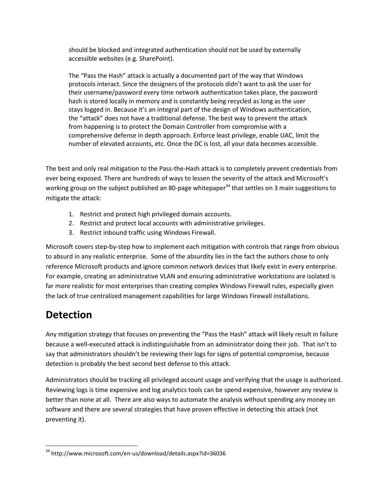should be blocked and integrated authentication should not be used by externally accessible websites (e.g. SharePoint).

The "Pass the Hash" attack is actually a documented part of the way that Windows protocols interact. Since the designers of the protocols didn't want to ask the user for their username/password every time network authentication takes place, the password hash is stored locally in memory and is constantly being recycled as long as the user stays logged in. Because it's an integral part of the design of Windows authentication, the "attack" does not have a traditional defense. The best way to prevent the attack from happening is to protect the Domain Controller from compromise with a comprehensive defense in depth approach. Enforce least privilege, enable UAC, limit the number of elevated accounts, etc. Once the DC is lost, all your data becomes accessible.

The best and only real mitigation to the Pass-the-Hash attack is to completely prevent credentials from ever being exposed. There are hundreds of ways to lessen the severity of the attack and Microsoft's working group on the subject published an 80-page whitepaper<sup>34</sup> that settles on 3 main suggestions to mitigate the attack:

- 1. Restrict and protect high privileged domain accounts.
- 2. Restrict and protect local accounts with administrative privileges.
- 3. Restrict inbound traffic using Windows Firewall.

Microsoft covers step-by-step how to implement each mitigation with controls that range from obvious to absurd in any realistic enterprise. Some of the absurdity lies in the fact the authors chose to only reference Microsoft products and ignore common network devices that likely exist in every enterprise. For example, creating an administrative VLAN and ensuring administrative workstations are isolated is far more realistic for most enterprises than creating complex Windows Firewall rules, especially given the lack of true centralized management capabilities for large Windows Firewall installations.

# **Detection**

Any mitigation strategy that focuses on preventing the "Pass the Hash" attack will likely result in failure because a well-executed attack is indistinguishable from an administrator doing their job. That isn't to say that administrators shouldn't be reviewing their logs for signs of potential compromise, because detection is probably the best second best defense to this attack.

Administrators should be tracking all privileged account usage and verifying that the usage is authorized. Reviewing logs is time expensive and log analytics tools can be spend expensive, however any review is better than none at all. There are also ways to automate the analysis without spending any money on software and there are several strategies that have proven effective in detecting this attack (not preventing it).

<sup>34</sup> http://www.microsoft.com/en-us/download/details.aspx?id=36036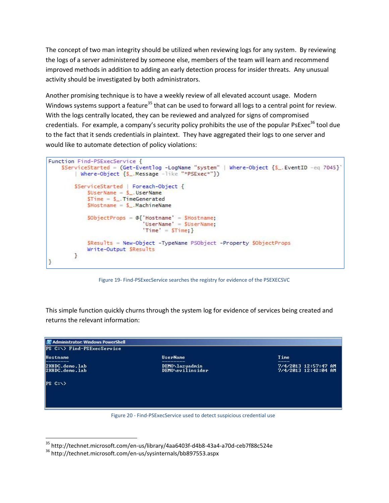The concept of two man integrity should be utilized when reviewing logs for any system. By reviewing the logs of a server administered by someone else, members of the team will learn and recommend improved methods in addition to adding an early detection process for insider threats. Any unusual activity should be investigated by both administrators.

Another promising technique is to have a weekly review of all elevated account usage. Modern Windows systems support a feature<sup>35</sup> that can be used to forward all logs to a central point for review. With the logs centrally located, they can be reviewed and analyzed for signs of compromised credentials. For example, a company's security policy prohibits the use of the popular PsExec<sup>36</sup> tool due to the fact that it sends credentials in plaintext. They have aggregated their logs to one server and would like to automate detection of policy violations:

```
Function Find-PSExecService {
    SServiceStarted = (Get-Eventlog -LogName "system" | Where-Object \{S_. EventID -eq 7045}'
        Where-Object {$_.Message -like "*PSExec*"})
        $ServiceStarted | Foreach-Object {
            $UserName = $. UserName
            $Time = $. TimeGenerated
            $Hostname = $_.\tMachineNameSObjectProps = \mathcal{C} Hostname' = SHostname;
                              UserName = $UserName;
                              'Time' = $Time; }$Results = New-Object -TypeName PSObject -Property $ObjectProps
            Write-Output SResults
        3
1
```
Figure 19- Find-PSExecService searches the registry for evidence of the PSEXECSVC

This simple function quickly churns through the system log for evidence of services being created and returns the relevant information:



Figure 20 - Find-PSExecService used to detect suspicious credential use

<sup>35</sup> http://technet.microsoft.com/en-us/library/4aa6403f-d4b8-43a4-a70d-ceb7f88c524e

<sup>36</sup> http://technet.microsoft.com/en-us/sysinternals/bb897553.aspx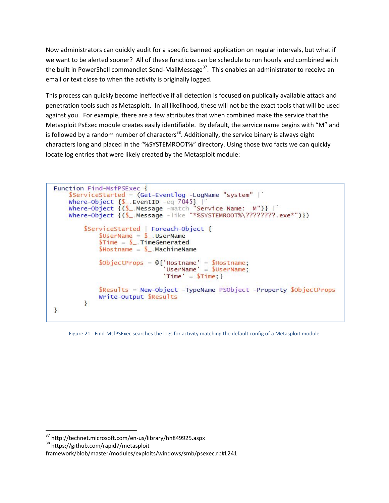Now administrators can quickly audit for a specific banned application on regular intervals, but what if we want to be alerted sooner? All of these functions can be schedule to run hourly and combined with the built in PowerShell commandlet Send-MailMessage<sup>37</sup>. This enables an administrator to receive an email or text close to when the activity is originally logged.

This process can quickly become ineffective if all detection is focused on publically available attack and penetration tools such as Metasploit. In all likelihood, these will not be the exact tools that will be used against you. For example, there are a few attributes that when combined make the service that the Metasploit PsExec module creates easily identifiable. By default, the service name begins with "M" and is followed by a random number of characters<sup>38</sup>. Additionally, the service binary is always eight characters long and placed in the "%SYSTEMROOT%" directory. Using those two facts we can quickly locate log entries that were likely created by the Metasploit module:

```
Function Find-MsfPSExec {
     ServiceStarted = (Get-Eventlog -LogName "system" |<br>Where-Object {$ EventID -eq 7045} |<br>Where-Object {($ Message -match "Service Name: M")} |
     Where-Object {($_Message -like "*%SYSTEMROOT%\????????.exe*")})
          $ServiceStarted | Foreach-Object {
                \text{SUserName} = \text{S}. UserName
                $Time = $ TimeGenerated
                $Hostname = $. MachineName
                $ObjectProps = @{'Hostname'} = $Hostname;<br>
'UserName' = $UserName;'Time' = $Time; }
                $Results = New-Object -TypeName PSObject -Property $ObjectProps
                Write-Output SResults
          }
}
```
Figure 21 - Find-MsfPSExec searches the logs for activity matching the default config of a Metasploit module

<sup>37</sup> http://technet.microsoft.com/en-us/library/hh849925.aspx

<sup>38</sup> https://github.com/rapid7/metasploit-

framework/blob/master/modules/exploits/windows/smb/psexec.rb#L241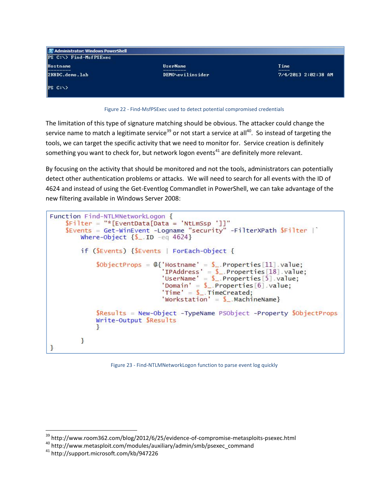| Administrator: Windows PowerShell |                  |                     |  |  |  |  |  |  |
|-----------------------------------|------------------|---------------------|--|--|--|--|--|--|
| $PS C:\rightarrow$ Find-MsfPSExec |                  |                     |  |  |  |  |  |  |
| <b>Hostname</b>                   | <b>UserName</b>  | Time                |  |  |  |  |  |  |
| 2K8DC.demo.lab                    | DEMO\evilinsider | 7/4/2013 2:02:38 AM |  |  |  |  |  |  |
| $PS C:\ \>$                       |                  |                     |  |  |  |  |  |  |



The limitation of this type of signature matching should be obvious. The attacker could change the service name to match a legitimate service<sup>39</sup> or not start a service at all<sup>40</sup>. So instead of targeting the tools, we can target the specific activity that we need to monitor for. Service creation is definitely something you want to check for, but network logon events<sup>41</sup> are definitely more relevant.

By focusing on the activity that should be monitored and not the tools, administrators can potentially detect other authentication problems or attacks. We will need to search for all events with the ID of 4624 and instead of using the Get-Eventlog Commandlet in PowerShell, we can take advantage of the new filtering available in Windows Server 2008:

```
Function Find-NTLMNetworkLogon {
     $Filter = "*[EventData[Data = 'NtlmSsp']]"$Events = Get-WinEvent -Logname "security" -FilterXPath $Filter |
          Where-Object \{$ . ID -eq 4624}
          if (SEvents) {SEvents | ForEach-Object {
                \text{SobiectProps} = \mathbb{Q} 'Hostname' = \text{S}_{-}. Properties [11] value;
                                        'IPAddress' = \frac{1}{2}. Properties [18]. value;<br>'UserName' = \frac{1}{2}. Properties [5]. value;
                                        'Domain' = \text{\AA}. Properties [6] value;
                                       'Time' = \mathbb{S}_-.TimeCreated;<br>'Workstation' = \mathbb{S}_-.MachineName}
                $Results = New-Object -TypeName PSObject -Property $ObjectProps
                Write-Output $Results
                ł
          <sup>3</sup>
}
```
Figure 23 - Find-NTLMNetworkLogon function to parse event log quickly

 $39$  http://www.room362.com/blog/2012/6/25/evidence-of-compromise-metasploits-psexec.html<br><sup>40</sup> http://www.metasploit.com/modules/auxiliary/admin/smb/psexec\_command

<sup>41</sup> http://support.microsoft.com/kb/947226